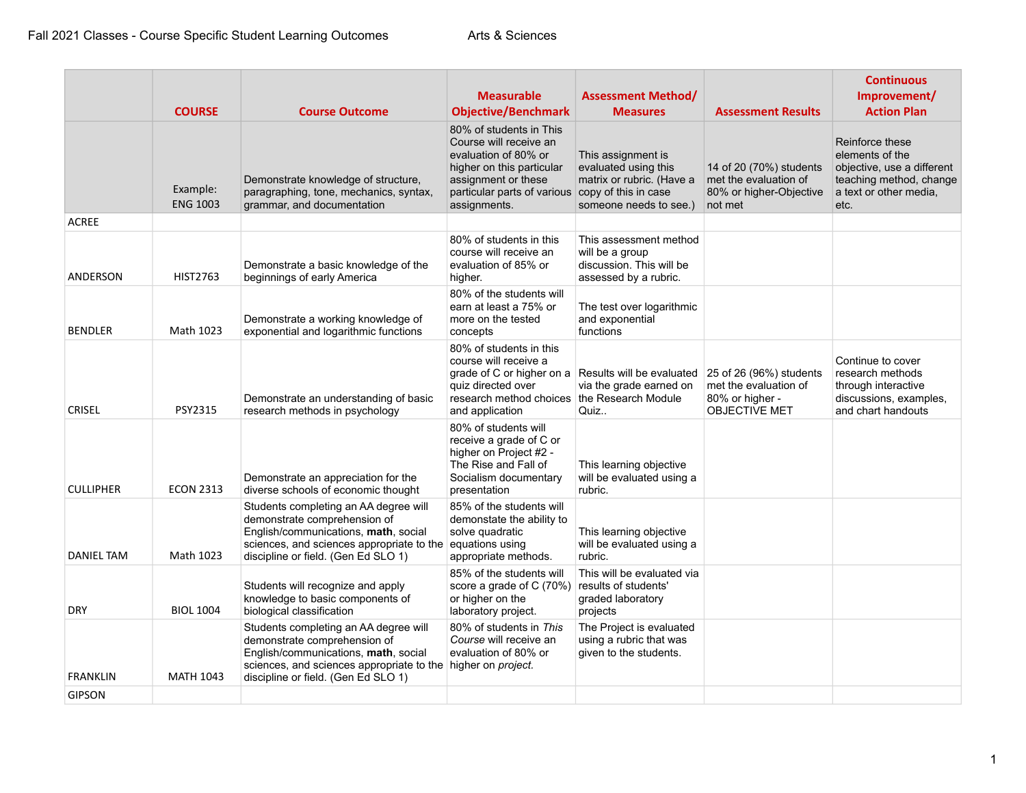|                  |                             |                                                                                                                                                                                                                      | <b>Measurable</b>                                                                                                                                                                                 | <b>Assessment Method/</b>                                                                         |                                                                                             | <b>Continuous</b><br>Improvement/                                                                                             |
|------------------|-----------------------------|----------------------------------------------------------------------------------------------------------------------------------------------------------------------------------------------------------------------|---------------------------------------------------------------------------------------------------------------------------------------------------------------------------------------------------|---------------------------------------------------------------------------------------------------|---------------------------------------------------------------------------------------------|-------------------------------------------------------------------------------------------------------------------------------|
|                  | <b>COURSE</b>               | <b>Course Outcome</b>                                                                                                                                                                                                | <b>Objective/Benchmark</b>                                                                                                                                                                        | <b>Measures</b>                                                                                   | <b>Assessment Results</b>                                                                   | <b>Action Plan</b>                                                                                                            |
|                  | Example:<br><b>ENG 1003</b> | Demonstrate knowledge of structure,<br>paragraphing, tone, mechanics, syntax,<br>grammar, and documentation                                                                                                          | 80% of students in This<br>Course will receive an<br>evaluation of 80% or<br>higher on this particular<br>assignment or these<br>particular parts of various copy of this in case<br>assignments. | This assignment is<br>evaluated using this<br>matrix or rubric. (Have a<br>someone needs to see.) | 14 of 20 (70%) students<br>met the evaluation of<br>80% or higher-Objective<br>not met      | Reinforce these<br>elements of the<br>objective, use a different<br>teaching method, change<br>a text or other media.<br>etc. |
| <b>ACREE</b>     |                             |                                                                                                                                                                                                                      |                                                                                                                                                                                                   |                                                                                                   |                                                                                             |                                                                                                                               |
| <b>ANDERSON</b>  | <b>HIST2763</b>             | Demonstrate a basic knowledge of the<br>beginnings of early America                                                                                                                                                  | 80% of students in this<br>course will receive an<br>evaluation of 85% or<br>higher.                                                                                                              | This assessment method<br>will be a group<br>discussion. This will be<br>assessed by a rubric.    |                                                                                             |                                                                                                                               |
| <b>BENDLER</b>   | Math 1023                   | Demonstrate a working knowledge of<br>exponential and logarithmic functions                                                                                                                                          | 80% of the students will<br>earn at least a 75% or<br>more on the tested<br>concepts                                                                                                              | The test over logarithmic<br>and exponential<br>functions                                         |                                                                                             |                                                                                                                               |
| <b>CRISEL</b>    | PSY2315                     | Demonstrate an understanding of basic<br>research methods in psychology                                                                                                                                              | 80% of students in this<br>course will receive a<br>quiz directed over<br>research method choices the Research Module<br>and application                                                          | grade of C or higher on a Results will be evaluated<br>via the grade earned on<br>Quiz            | 25 of 26 (96%) students<br>met the evaluation of<br>80% or higher -<br><b>OBJECTIVE MET</b> | Continue to cover<br>research methods<br>through interactive<br>discussions, examples,<br>and chart handouts                  |
| <b>CULLIPHER</b> | <b>ECON 2313</b>            | Demonstrate an appreciation for the<br>diverse schools of economic thought                                                                                                                                           | 80% of students will<br>receive a grade of C or<br>higher on Project #2 -<br>The Rise and Fall of<br>Socialism documentary<br>presentation                                                        | This learning objective<br>will be evaluated using a<br>rubric.                                   |                                                                                             |                                                                                                                               |
| DANIEL TAM       | Math 1023                   | Students completing an AA degree will<br>demonstrate comprehension of<br>English/communications, math, social<br>sciences, and sciences appropriate to the<br>discipline or field. (Gen Ed SLO 1)                    | 85% of the students will<br>demonstate the ability to<br>solve quadratic<br>equations using<br>appropriate methods.                                                                               | This learning objective<br>will be evaluated using a<br>rubric.                                   |                                                                                             |                                                                                                                               |
| DRY              | <b>BIOL 1004</b>            | Students will recognize and apply<br>knowledge to basic components of<br>biological classification                                                                                                                   | 85% of the students will<br>score a grade of C (70%)<br>or higher on the<br>laboratory project.                                                                                                   | This will be evaluated via<br>results of students'<br>graded laboratory<br>projects               |                                                                                             |                                                                                                                               |
| <b>FRANKLIN</b>  | <b>MATH 1043</b>            | Students completing an AA degree will<br>demonstrate comprehension of<br>English/communications, math, social<br>sciences, and sciences appropriate to the higher on project.<br>discipline or field. (Gen Ed SLO 1) | 80% of students in This<br>Course will receive an<br>evaluation of 80% or                                                                                                                         | The Project is evaluated<br>using a rubric that was<br>given to the students.                     |                                                                                             |                                                                                                                               |
| <b>GIPSON</b>    |                             |                                                                                                                                                                                                                      |                                                                                                                                                                                                   |                                                                                                   |                                                                                             |                                                                                                                               |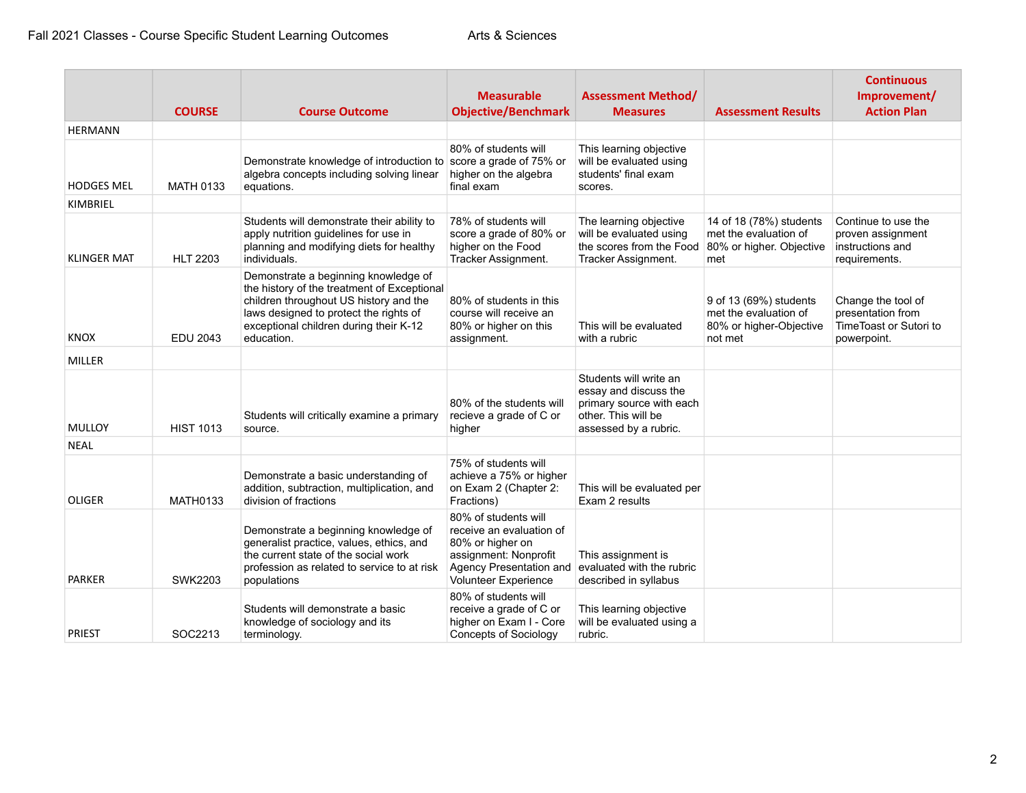|                    | <b>COURSE</b>    | <b>Course Outcome</b>                                                                                                                                                                                                           | <b>Measurable</b><br><b>Objective/Benchmark</b>                                                                                                  | <b>Assessment Method/</b><br><b>Measures</b>                                                                                | <b>Assessment Results</b>                                                             | <b>Continuous</b><br>Improvement/<br><b>Action Plan</b>                          |
|--------------------|------------------|---------------------------------------------------------------------------------------------------------------------------------------------------------------------------------------------------------------------------------|--------------------------------------------------------------------------------------------------------------------------------------------------|-----------------------------------------------------------------------------------------------------------------------------|---------------------------------------------------------------------------------------|----------------------------------------------------------------------------------|
| <b>HERMANN</b>     |                  |                                                                                                                                                                                                                                 |                                                                                                                                                  |                                                                                                                             |                                                                                       |                                                                                  |
| <b>HODGES MEL</b>  | <b>MATH 0133</b> | Demonstrate knowledge of introduction to score a grade of 75% or<br>algebra concepts including solving linear<br>equations.                                                                                                     | 80% of students will<br>higher on the algebra<br>final exam                                                                                      | This learning objective<br>will be evaluated using<br>students' final exam<br>scores.                                       |                                                                                       |                                                                                  |
| KIMBRIEL           |                  |                                                                                                                                                                                                                                 |                                                                                                                                                  |                                                                                                                             |                                                                                       |                                                                                  |
| <b>KLINGER MAT</b> | <b>HLT 2203</b>  | Students will demonstrate their ability to<br>apply nutrition guidelines for use in<br>planning and modifying diets for healthy<br>individuals.                                                                                 | 78% of students will<br>score a grade of 80% or<br>higher on the Food<br>Tracker Assignment.                                                     | The learning objective<br>will be evaluated using<br>the scores from the Food<br>Tracker Assignment.                        | 14 of 18 (78%) students<br>met the evaluation of<br>80% or higher. Objective<br>met   | Continue to use the<br>proven assignment<br>instructions and<br>requirements.    |
| <b>KNOX</b>        | <b>EDU 2043</b>  | Demonstrate a beginning knowledge of<br>the history of the treatment of Exceptional<br>children throughout US history and the<br>laws designed to protect the rights of<br>exceptional children during their K-12<br>education. | 80% of students in this<br>course will receive an<br>80% or higher on this<br>assignment.                                                        | This will be evaluated<br>with a rubric                                                                                     | 9 of 13 (69%) students<br>met the evaluation of<br>80% or higher-Objective<br>not met | Change the tool of<br>presentation from<br>TimeToast or Sutori to<br>powerpoint. |
| MILLER             |                  |                                                                                                                                                                                                                                 |                                                                                                                                                  |                                                                                                                             |                                                                                       |                                                                                  |
| MULLOY             | <b>HIST 1013</b> | Students will critically examine a primary<br>source.                                                                                                                                                                           | 80% of the students will<br>recieve a grade of C or<br>higher                                                                                    | Students will write an<br>essay and discuss the<br>primary source with each<br>other. This will be<br>assessed by a rubric. |                                                                                       |                                                                                  |
| <b>NEAL</b>        |                  |                                                                                                                                                                                                                                 |                                                                                                                                                  |                                                                                                                             |                                                                                       |                                                                                  |
| <b>OLIGER</b>      | <b>MATH0133</b>  | Demonstrate a basic understanding of<br>addition, subtraction, multiplication, and<br>division of fractions                                                                                                                     | 75% of students will<br>achieve a 75% or higher<br>on Exam 2 (Chapter 2:<br>Fractions)                                                           | This will be evaluated per<br>Exam 2 results                                                                                |                                                                                       |                                                                                  |
| <b>PARKER</b>      | <b>SWK2203</b>   | Demonstrate a beginning knowledge of<br>generalist practice, values, ethics, and<br>the current state of the social work<br>profession as related to service to at risk<br>populations                                          | 80% of students will<br>receive an evaluation of<br>80% or higher on<br>assignment: Nonprofit<br>Agency Presentation and<br>Volunteer Experience | This assignment is<br>evaluated with the rubric<br>described in syllabus                                                    |                                                                                       |                                                                                  |
| <b>PRIEST</b>      | SOC2213          | Students will demonstrate a basic<br>knowledge of sociology and its<br>terminology.                                                                                                                                             | 80% of students will<br>receive a grade of C or<br>higher on Exam I - Core<br><b>Concepts of Sociology</b>                                       | This learning objective<br>will be evaluated using a<br>rubric.                                                             |                                                                                       |                                                                                  |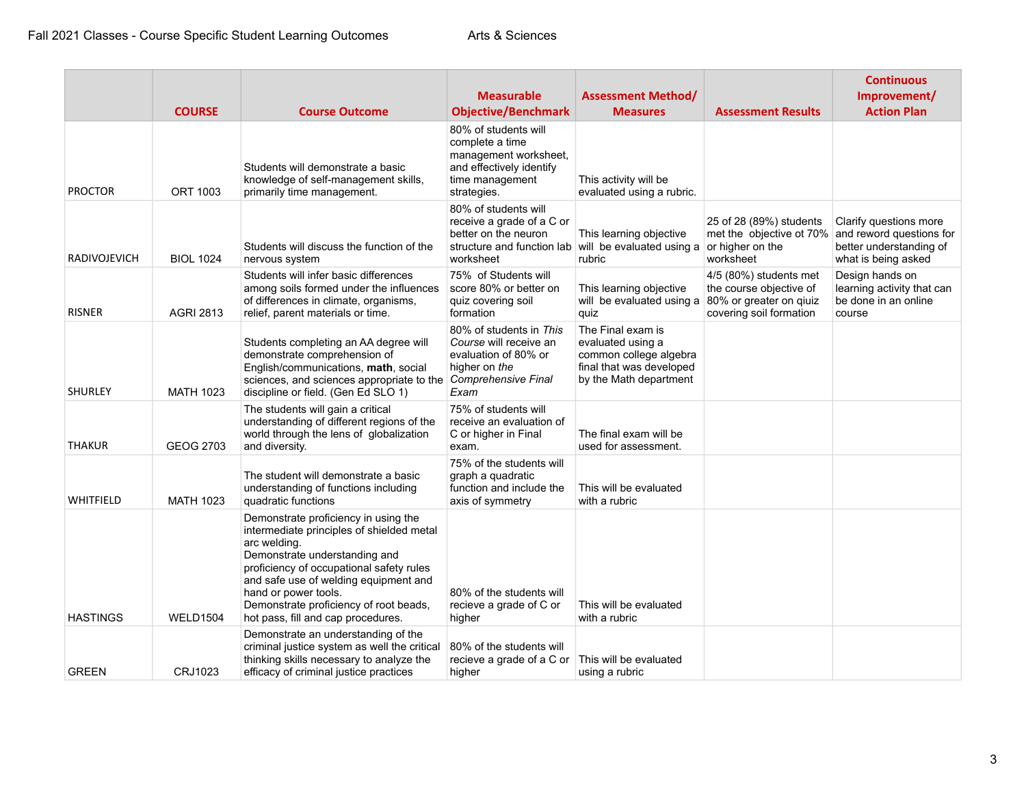|                     | <b>COURSE</b>    | <b>Course Outcome</b>                                                                                                                                                                                                                                                                                                           | <b>Measurable</b><br><b>Objective/Benchmark</b>                                                                                | <b>Assessment Method/</b><br><b>Measures</b>                                                                           | <b>Assessment Results</b>                                                                               | <b>Continuous</b><br>Improvement/<br><b>Action Plan</b>                                              |
|---------------------|------------------|---------------------------------------------------------------------------------------------------------------------------------------------------------------------------------------------------------------------------------------------------------------------------------------------------------------------------------|--------------------------------------------------------------------------------------------------------------------------------|------------------------------------------------------------------------------------------------------------------------|---------------------------------------------------------------------------------------------------------|------------------------------------------------------------------------------------------------------|
| <b>PROCTOR</b>      | <b>ORT 1003</b>  | Students will demonstrate a basic<br>knowledge of self-management skills,<br>primarily time management.                                                                                                                                                                                                                         | 80% of students will<br>complete a time<br>management worksheet,<br>and effectively identify<br>time management<br>strategies. | This activity will be<br>evaluated using a rubric.                                                                     |                                                                                                         |                                                                                                      |
| <b>RADIVOJEVICH</b> | <b>BIOL 1024</b> | Students will discuss the function of the<br>nervous system                                                                                                                                                                                                                                                                     | 80% of students will<br>receive a grade of a C or<br>better on the neuron<br>worksheet                                         | This learning objective<br>structure and function lab will be evaluated using a<br>rubric                              | 25 of 28 (89%) students<br>met the objective ot 70%<br>or higher on the<br>worksheet                    | Clarify questions more<br>and reword questions for<br>better understanding of<br>what is being asked |
| <b>RISNER</b>       | <b>AGRI 2813</b> | Students will infer basic differences<br>among soils formed under the influences<br>of differences in climate, organisms,<br>relief, parent materials or time.                                                                                                                                                                  | 75% of Students will<br>score 80% or better on<br>quiz covering soil<br>formation                                              | This learning objective<br>will be evaluated using a<br>quiz                                                           | 4/5 (80%) students met<br>the course objective of<br>80% or greater on qiuiz<br>covering soil formation | Design hands on<br>learning activity that can<br>be done in an online<br>course                      |
| <b>SHURLEY</b>      | <b>MATH 1023</b> | Students completing an AA degree will<br>demonstrate comprehension of<br>English/communications, math, social<br>sciences, and sciences appropriate to the Comprehensive Final<br>discipline or field. (Gen Ed SLO 1)                                                                                                           | 80% of students in This<br>Course will receive an<br>evaluation of 80% or<br>higher on the<br>Exam                             | The Final exam is<br>evaluated using a<br>common college algebra<br>final that was developed<br>by the Math department |                                                                                                         |                                                                                                      |
| <b>THAKUR</b>       | GEOG 2703        | The students will gain a critical<br>understanding of different regions of the<br>world through the lens of globalization<br>and diversity.                                                                                                                                                                                     | 75% of students will<br>receive an evaluation of<br>C or higher in Final<br>exam.                                              | The final exam will be<br>used for assessment.                                                                         |                                                                                                         |                                                                                                      |
| WHITFIELD           | <b>MATH 1023</b> | The student will demonstrate a basic<br>understanding of functions including<br>quadratic functions                                                                                                                                                                                                                             | 75% of the students will<br>graph a quadratic<br>function and include the<br>axis of symmetry                                  | This will be evaluated<br>with a rubric                                                                                |                                                                                                         |                                                                                                      |
| <b>HASTINGS</b>     | <b>WELD1504</b>  | Demonstrate proficiency in using the<br>intermediate principles of shielded metal<br>arc welding.<br>Demonstrate understanding and<br>proficiency of occupational safety rules<br>and safe use of welding equipment and<br>hand or power tools.<br>Demonstrate proficiency of root beads,<br>hot pass, fill and cap procedures. | 80% of the students will<br>recieve a grade of C or<br>higher                                                                  | This will be evaluated<br>with a rubric                                                                                |                                                                                                         |                                                                                                      |
| <b>GREEN</b>        | CRJ1023          | Demonstrate an understanding of the<br>criminal justice system as well the critical<br>thinking skills necessary to analyze the<br>efficacy of criminal justice practices                                                                                                                                                       | 80% of the students will<br>recieve a grade of a C or<br>higher                                                                | This will be evaluated<br>using a rubric                                                                               |                                                                                                         |                                                                                                      |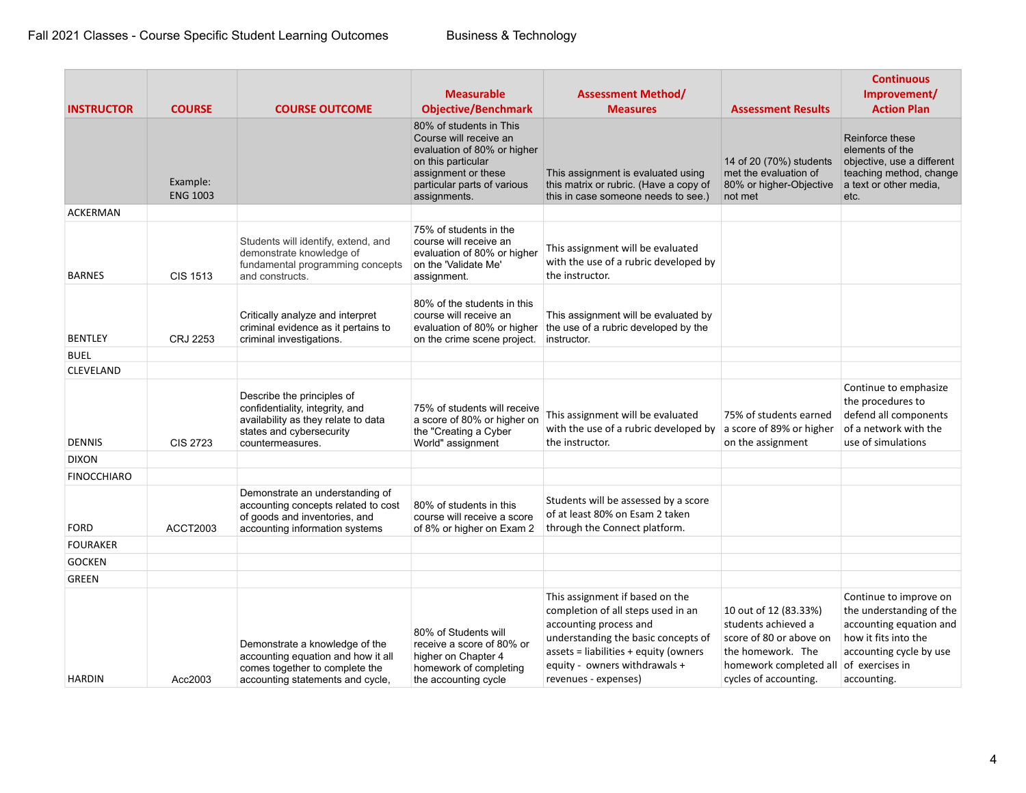| <b>INSTRUCTOR</b>  | <b>COURSE</b>               | <b>COURSE OUTCOME</b>                                                                                                                                | <b>Measurable</b><br><b>Objective/Benchmark</b>                                                                                                                              | <b>Assessment Method/</b><br><b>Measures</b>                                                                                                                                                                                                | <b>Assessment Results</b>                                                                                                                       | <b>Continuous</b><br>Improvement/<br><b>Action Plan</b>                                                                                                            |
|--------------------|-----------------------------|------------------------------------------------------------------------------------------------------------------------------------------------------|------------------------------------------------------------------------------------------------------------------------------------------------------------------------------|---------------------------------------------------------------------------------------------------------------------------------------------------------------------------------------------------------------------------------------------|-------------------------------------------------------------------------------------------------------------------------------------------------|--------------------------------------------------------------------------------------------------------------------------------------------------------------------|
|                    | Example:<br><b>ENG 1003</b> |                                                                                                                                                      | 80% of students in This<br>Course will receive an<br>evaluation of 80% or higher<br>on this particular<br>assignment or these<br>particular parts of various<br>assignments. | This assignment is evaluated using<br>this matrix or rubric. (Have a copy of<br>this in case someone needs to see.)                                                                                                                         | 14 of 20 (70%) students<br>met the evaluation of<br>80% or higher-Objective<br>not met                                                          | Reinforce these<br>elements of the<br>objective, use a different<br>teaching method, change<br>a text or other media,<br>etc.                                      |
| ACKERMAN           |                             |                                                                                                                                                      |                                                                                                                                                                              |                                                                                                                                                                                                                                             |                                                                                                                                                 |                                                                                                                                                                    |
| <b>BARNES</b>      | <b>CIS 1513</b>             | Students will identify, extend, and<br>demonstrate knowledge of<br>fundamental programming concepts<br>and constructs.                               | 75% of students in the<br>course will receive an<br>evaluation of 80% or higher<br>on the 'Validate Me'<br>assignment.                                                       | This assignment will be evaluated<br>with the use of a rubric developed by<br>the instructor.                                                                                                                                               |                                                                                                                                                 |                                                                                                                                                                    |
| <b>BENTLEY</b>     | CRJ 2253                    | Critically analyze and interpret<br>criminal evidence as it pertains to<br>criminal investigations.                                                  | 80% of the students in this<br>course will receive an<br>evaluation of 80% or higher<br>on the crime scene project.                                                          | This assignment will be evaluated by<br>the use of a rubric developed by the<br>instructor.                                                                                                                                                 |                                                                                                                                                 |                                                                                                                                                                    |
| <b>BUEL</b>        |                             |                                                                                                                                                      |                                                                                                                                                                              |                                                                                                                                                                                                                                             |                                                                                                                                                 |                                                                                                                                                                    |
| <b>CLEVELAND</b>   |                             |                                                                                                                                                      |                                                                                                                                                                              |                                                                                                                                                                                                                                             |                                                                                                                                                 |                                                                                                                                                                    |
| <b>DENNIS</b>      | <b>CIS 2723</b>             | Describe the principles of<br>confidentiality, integrity, and<br>availability as they relate to data<br>states and cybersecurity<br>countermeasures. | 75% of students will receive<br>a score of 80% or higher on<br>the "Creating a Cyber<br>World" assignment                                                                    | This assignment will be evaluated<br>with the use of a rubric developed by<br>the instructor.                                                                                                                                               | 75% of students earned<br>a score of 89% or higher<br>on the assignment                                                                         | Continue to emphasize<br>the procedures to<br>defend all components<br>of a network with the<br>use of simulations                                                 |
| <b>DIXON</b>       |                             |                                                                                                                                                      |                                                                                                                                                                              |                                                                                                                                                                                                                                             |                                                                                                                                                 |                                                                                                                                                                    |
| <b>FINOCCHIARO</b> |                             |                                                                                                                                                      |                                                                                                                                                                              |                                                                                                                                                                                                                                             |                                                                                                                                                 |                                                                                                                                                                    |
| <b>FORD</b>        | <b>ACCT2003</b>             | Demonstrate an understanding of<br>accounting concepts related to cost<br>of goods and inventories, and<br>accounting information systems            | 80% of students in this<br>course will receive a score<br>of 8% or higher on Exam 2                                                                                          | Students will be assessed by a score<br>of at least 80% on Esam 2 taken<br>through the Connect platform.                                                                                                                                    |                                                                                                                                                 |                                                                                                                                                                    |
| <b>FOURAKER</b>    |                             |                                                                                                                                                      |                                                                                                                                                                              |                                                                                                                                                                                                                                             |                                                                                                                                                 |                                                                                                                                                                    |
| <b>GOCKEN</b>      |                             |                                                                                                                                                      |                                                                                                                                                                              |                                                                                                                                                                                                                                             |                                                                                                                                                 |                                                                                                                                                                    |
| <b>GREEN</b>       |                             |                                                                                                                                                      |                                                                                                                                                                              |                                                                                                                                                                                                                                             |                                                                                                                                                 |                                                                                                                                                                    |
| <b>HARDIN</b>      | Acc2003                     | Demonstrate a knowledge of the<br>accounting equation and how it all<br>comes together to complete the<br>accounting statements and cycle,           | 80% of Students will<br>receive a score of 80% or<br>higher on Chapter 4<br>homework of completing<br>the accounting cycle                                                   | This assignment if based on the<br>completion of all steps used in an<br>accounting process and<br>understanding the basic concepts of<br>$assets = liabilities + equity (owners)$<br>equity - owners withdrawals +<br>revenues - expenses) | 10 out of 12 (83.33%)<br>students achieved a<br>score of 80 or above on<br>the homework. The<br>homework completed all<br>cycles of accounting. | Continue to improve on<br>the understanding of the<br>accounting equation and<br>how it fits into the<br>accounting cycle by use<br>of exercises in<br>accounting. |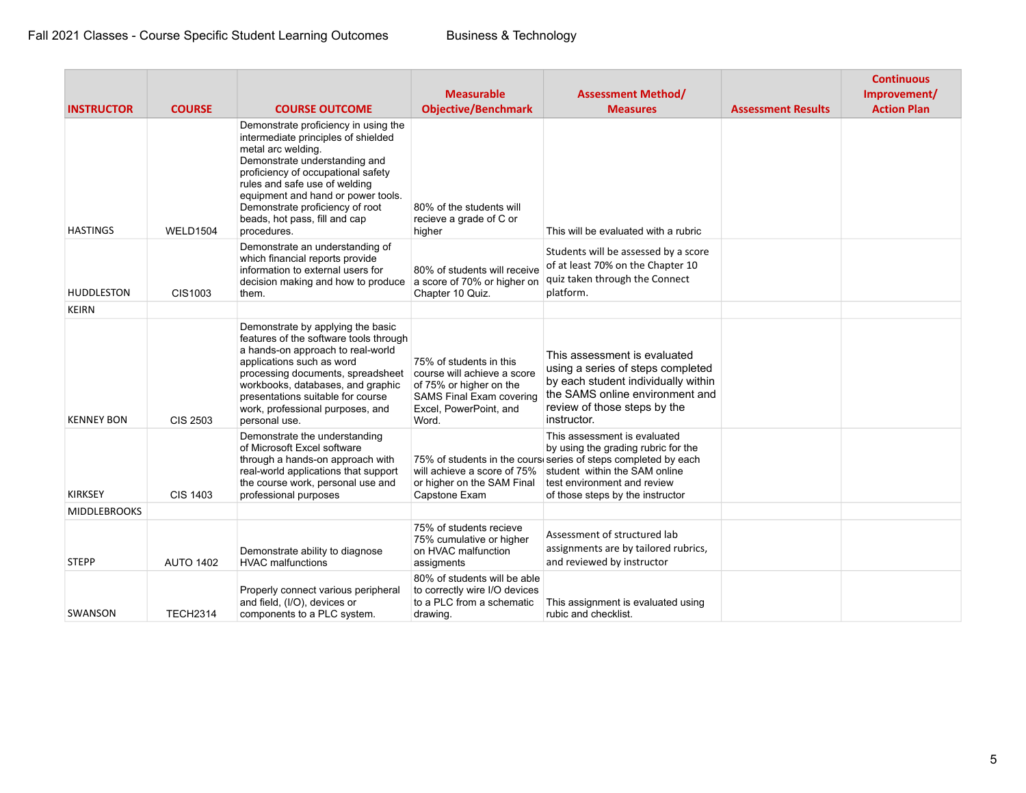|                                      |                                  |                                                                                                                                                                                                                                                                                                                                                             | <b>Measurable</b>                                                                                                                                       | <b>Assessment Method/</b>                                                                                                                                                                                                                                             |                           | <b>Continuous</b><br>Improvement/ |
|--------------------------------------|----------------------------------|-------------------------------------------------------------------------------------------------------------------------------------------------------------------------------------------------------------------------------------------------------------------------------------------------------------------------------------------------------------|---------------------------------------------------------------------------------------------------------------------------------------------------------|-----------------------------------------------------------------------------------------------------------------------------------------------------------------------------------------------------------------------------------------------------------------------|---------------------------|-----------------------------------|
| <b>INSTRUCTOR</b><br><b>HASTINGS</b> | <b>COURSE</b><br><b>WELD1504</b> | <b>COURSE OUTCOME</b><br>Demonstrate proficiency in using the<br>intermediate principles of shielded<br>metal arc welding.<br>Demonstrate understanding and<br>proficiency of occupational safety<br>rules and safe use of welding<br>equipment and hand or power tools.<br>Demonstrate proficiency of root<br>beads, hot pass, fill and cap<br>procedures. | <b>Objective/Benchmark</b><br>80% of the students will<br>recieve a grade of C or<br>higher                                                             | <b>Measures</b><br>This will be evaluated with a rubric                                                                                                                                                                                                               | <b>Assessment Results</b> | <b>Action Plan</b>                |
| <b>HUDDLESTON</b>                    | CIS1003                          | Demonstrate an understanding of<br>which financial reports provide<br>information to external users for<br>decision making and how to produce<br>them.                                                                                                                                                                                                      | 80% of students will receive<br>a score of 70% or higher on<br>Chapter 10 Quiz.                                                                         | Students will be assessed by a score<br>of at least 70% on the Chapter 10<br>quiz taken through the Connect<br>platform.                                                                                                                                              |                           |                                   |
| <b>KEIRN</b>                         |                                  |                                                                                                                                                                                                                                                                                                                                                             |                                                                                                                                                         |                                                                                                                                                                                                                                                                       |                           |                                   |
| <b>KENNEY BON</b>                    | CIS 2503                         | Demonstrate by applying the basic<br>features of the software tools through<br>a hands-on approach to real-world<br>applications such as word<br>processing documents, spreadsheet<br>workbooks, databases, and graphic<br>presentations suitable for course<br>work, professional purposes, and<br>personal use.                                           | 75% of students in this<br>course will achieve a score<br>of 75% or higher on the<br><b>SAMS Final Exam covering</b><br>Excel, PowerPoint, and<br>Word. | This assessment is evaluated<br>using a series of steps completed<br>by each student individually within<br>the SAMS online environment and<br>review of those steps by the<br>instructor.                                                                            |                           |                                   |
| <b>KIRKSEY</b>                       | <b>CIS 1403</b>                  | Demonstrate the understanding<br>of Microsoft Excel software<br>through a hands-on approach with<br>real-world applications that support<br>the course work, personal use and<br>professional purposes                                                                                                                                                      | or higher on the SAM Final<br>Capstone Exam                                                                                                             | This assessment is evaluated<br>by using the grading rubric for the<br>75% of students in the cours series of steps completed by each<br>will achieve a score of 75% student within the SAM online<br>test environment and review<br>of those steps by the instructor |                           |                                   |
| <b>MIDDLEBROOKS</b>                  |                                  |                                                                                                                                                                                                                                                                                                                                                             |                                                                                                                                                         |                                                                                                                                                                                                                                                                       |                           |                                   |
| <b>STEPP</b>                         | <b>AUTO 1402</b>                 | Demonstrate ability to diagnose<br><b>HVAC malfunctions</b>                                                                                                                                                                                                                                                                                                 | 75% of students recieve<br>75% cumulative or higher<br>on HVAC malfunction<br>assigments                                                                | Assessment of structured lab<br>assignments are by tailored rubrics,<br>and reviewed by instructor                                                                                                                                                                    |                           |                                   |
| SWANSON                              | <b>TECH2314</b>                  | Properly connect various peripheral<br>and field, (I/O), devices or<br>components to a PLC system.                                                                                                                                                                                                                                                          | 80% of students will be able<br>to correctly wire I/O devices<br>to a PLC from a schematic<br>drawing.                                                  | This assignment is evaluated using<br>rubic and checklist.                                                                                                                                                                                                            |                           |                                   |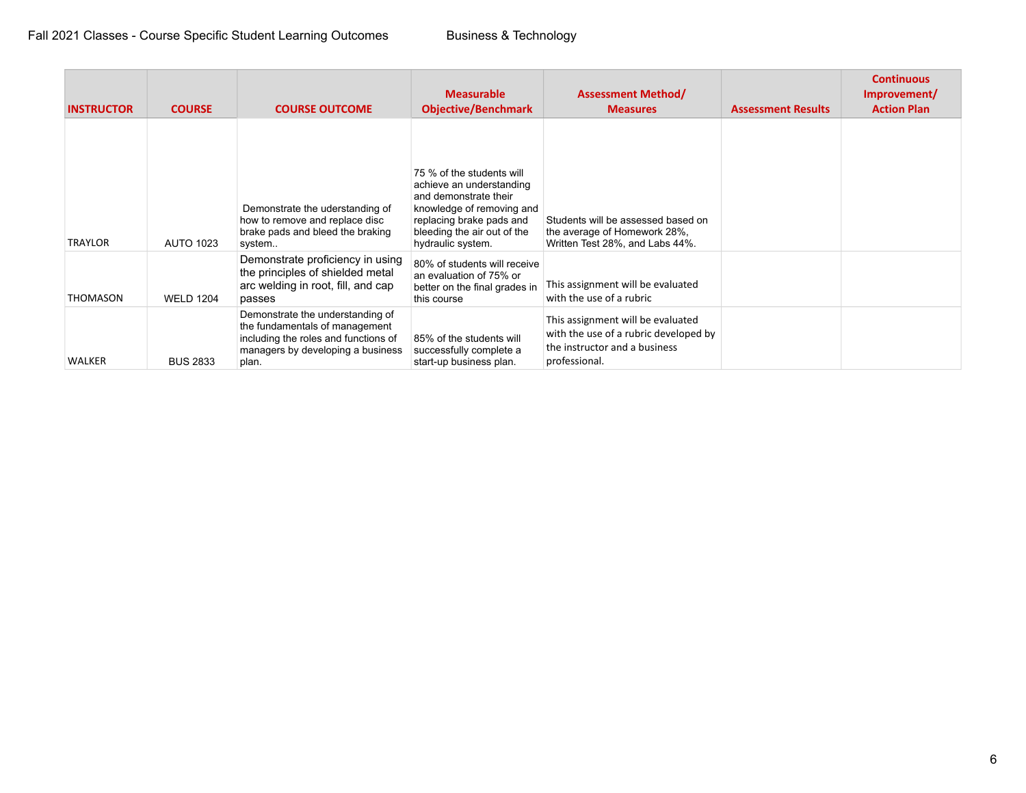| <b>INSTRUCTOR</b> | <b>COURSE</b>    | <b>COURSE OUTCOME</b>                                                                                                                                    | <b>Measurable</b><br><b>Objective/Benchmark</b>                                                                                                                                             | <b>Assessment Method/</b><br><b>Measures</b>                                                                                 | <b>Assessment Results</b> | <b>Continuous</b><br>Improvement/<br><b>Action Plan</b> |
|-------------------|------------------|----------------------------------------------------------------------------------------------------------------------------------------------------------|---------------------------------------------------------------------------------------------------------------------------------------------------------------------------------------------|------------------------------------------------------------------------------------------------------------------------------|---------------------------|---------------------------------------------------------|
| <b>TRAYLOR</b>    | <b>AUTO 1023</b> | Demonstrate the uderstanding of<br>how to remove and replace disc<br>brake pads and bleed the braking<br>system.                                         | 75 % of the students will<br>achieve an understanding<br>and demonstrate their<br>knowledge of removing and<br>replacing brake pads and<br>bleeding the air out of the<br>hydraulic system. | Students will be assessed based on<br>the average of Homework 28%,<br>Written Test 28%, and Labs 44%.                        |                           |                                                         |
| THOMASON          | <b>WELD 1204</b> | Demonstrate proficiency in using<br>the principles of shielded metal<br>arc welding in root, fill, and cap<br>passes                                     | 80% of students will receive<br>an evaluation of 75% or<br>better on the final grades in<br>this course                                                                                     | This assignment will be evaluated<br>with the use of a rubric                                                                |                           |                                                         |
| <b>WALKER</b>     | <b>BUS 2833</b>  | Demonstrate the understanding of<br>the fundamentals of management<br>including the roles and functions of<br>managers by developing a business<br>plan. | 85% of the students will<br>successfully complete a<br>start-up business plan.                                                                                                              | This assignment will be evaluated<br>with the use of a rubric developed by<br>the instructor and a business<br>professional. |                           |                                                         |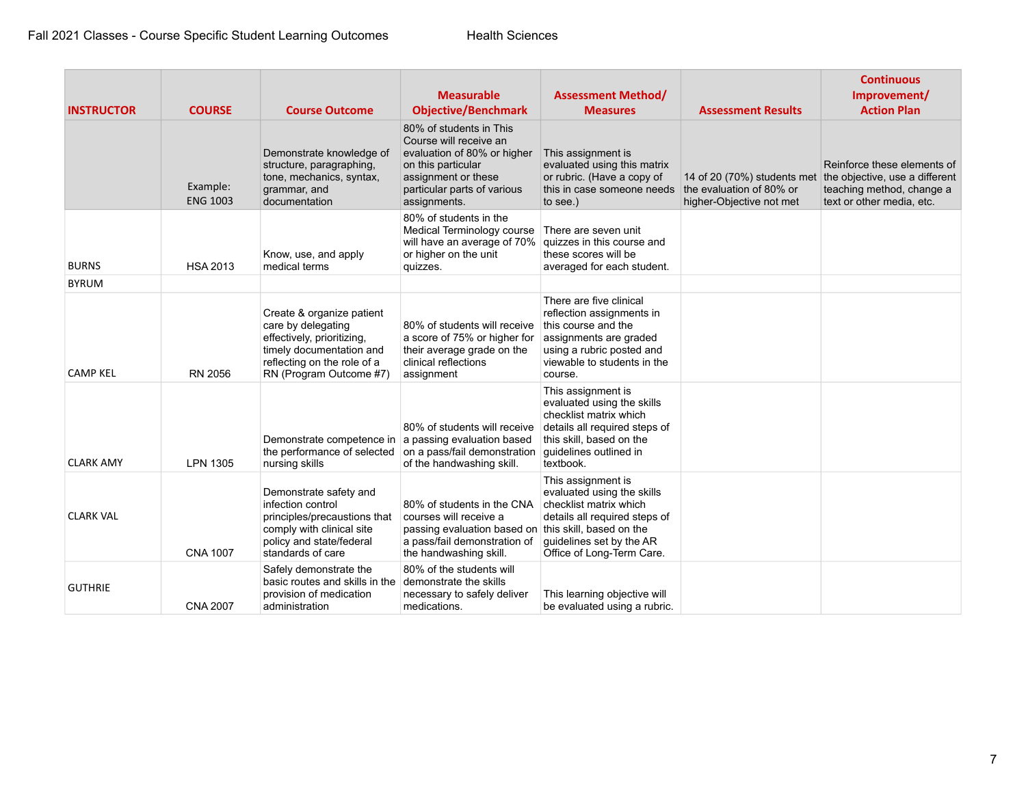| <b>INSTRUCTOR</b> | <b>COURSE</b>               | <b>Course Outcome</b>                                                                                                                                               | <b>Measurable</b><br><b>Objective/Benchmark</b>                                                                                                                              | <b>Assessment Method/</b><br><b>Measures</b>                                                                                                                                                     | <b>Assessment Results</b>                            | <b>Continuous</b><br>Improvement/<br><b>Action Plan</b>                                                                                             |
|-------------------|-----------------------------|---------------------------------------------------------------------------------------------------------------------------------------------------------------------|------------------------------------------------------------------------------------------------------------------------------------------------------------------------------|--------------------------------------------------------------------------------------------------------------------------------------------------------------------------------------------------|------------------------------------------------------|-----------------------------------------------------------------------------------------------------------------------------------------------------|
|                   | Example:<br><b>ENG 1003</b> | Demonstrate knowledge of<br>structure, paragraphing,<br>tone, mechanics, syntax,<br>grammar, and<br>documentation                                                   | 80% of students in This<br>Course will receive an<br>evaluation of 80% or higher<br>on this particular<br>assignment or these<br>particular parts of various<br>assignments. | This assignment is<br>evaluated using this matrix<br>or rubric. (Have a copy of<br>this in case someone needs<br>to see.)                                                                        | the evaluation of 80% or<br>higher-Objective not met | Reinforce these elements of<br>14 of 20 (70%) students met the objective, use a different<br>teaching method, change a<br>text or other media, etc. |
| <b>BURNS</b>      | <b>HSA 2013</b>             | Know, use, and apply<br>medical terms                                                                                                                               | 80% of students in the<br>Medical Terminology course<br>will have an average of 70%<br>or higher on the unit<br>quizzes.                                                     | There are seven unit<br>quizzes in this course and<br>these scores will be<br>averaged for each student.                                                                                         |                                                      |                                                                                                                                                     |
| <b>BYRUM</b>      |                             |                                                                                                                                                                     |                                                                                                                                                                              |                                                                                                                                                                                                  |                                                      |                                                                                                                                                     |
| <b>CAMP KEL</b>   | <b>RN 2056</b>              | Create & organize patient<br>care by delegating<br>effectively, prioritizing,<br>timely documentation and<br>reflecting on the role of a<br>RN (Program Outcome #7) | 80% of students will receive<br>a score of 75% or higher for<br>their average grade on the<br>clinical reflections<br>assignment                                             | There are five clinical<br>reflection assignments in<br>this course and the<br>assignments are graded<br>using a rubric posted and<br>viewable to students in the<br>course.                     |                                                      |                                                                                                                                                     |
| <b>CLARK AMY</b>  | <b>LPN 1305</b>             | Demonstrate competence in a passing evaluation based<br>the performance of selected<br>nursing skills                                                               | 80% of students will receive<br>on a pass/fail demonstration<br>of the handwashing skill.                                                                                    | This assignment is<br>evaluated using the skills<br>checklist matrix which<br>details all required steps of<br>this skill, based on the<br>quidelines outlined in<br>textbook.                   |                                                      |                                                                                                                                                     |
| <b>CLARK VAL</b>  | <b>CNA 1007</b>             | Demonstrate safety and<br>infection control<br>principles/precaustions that<br>comply with clinical site<br>policy and state/federal<br>standards of care           | 80% of students in the CNA<br>courses will receive a<br>passing evaluation based on<br>a pass/fail demonstration of<br>the handwashing skill.                                | This assignment is<br>evaluated using the skills<br>checklist matrix which<br>details all required steps of<br>this skill, based on the<br>guidelines set by the AR<br>Office of Long-Term Care. |                                                      |                                                                                                                                                     |
| <b>GUTHRIE</b>    | <b>CNA 2007</b>             | Safely demonstrate the<br>basic routes and skills in the<br>provision of medication<br>administration                                                               | 80% of the students will<br>demonstrate the skills<br>necessary to safely deliver<br>medications.                                                                            | This learning objective will<br>be evaluated using a rubric.                                                                                                                                     |                                                      |                                                                                                                                                     |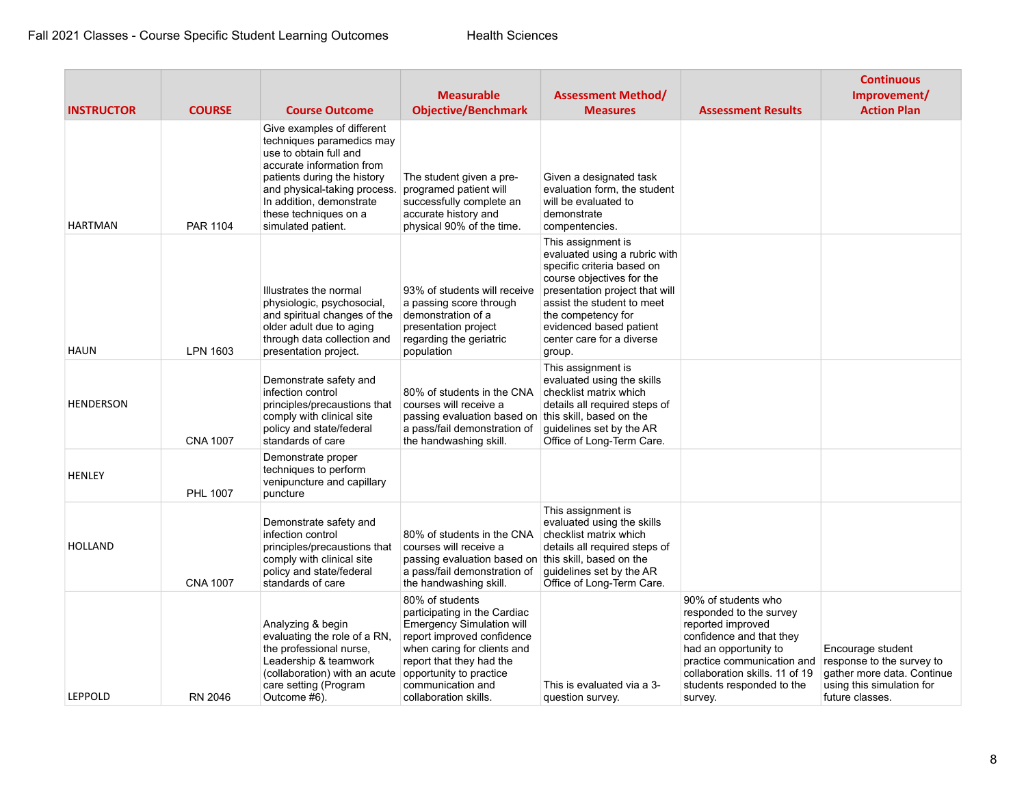| <b>INSTRUCTOR</b> | <b>COURSE</b>   | <b>Course Outcome</b>                                                                                                                                                                                                                                    | <b>Measurable</b><br><b>Objective/Benchmark</b>                                                                                                                                                                                                       | <b>Assessment Method/</b><br><b>Measures</b>                                                                                                                                                                                                                           | <b>Assessment Results</b>                                                                                                                                                                                                        | <b>Continuous</b><br>Improvement/<br><b>Action Plan</b>                                                                      |
|-------------------|-----------------|----------------------------------------------------------------------------------------------------------------------------------------------------------------------------------------------------------------------------------------------------------|-------------------------------------------------------------------------------------------------------------------------------------------------------------------------------------------------------------------------------------------------------|------------------------------------------------------------------------------------------------------------------------------------------------------------------------------------------------------------------------------------------------------------------------|----------------------------------------------------------------------------------------------------------------------------------------------------------------------------------------------------------------------------------|------------------------------------------------------------------------------------------------------------------------------|
| <b>HARTMAN</b>    | <b>PAR 1104</b> | Give examples of different<br>techniques paramedics may<br>use to obtain full and<br>accurate information from<br>patients during the history<br>and physical-taking process.<br>In addition, demonstrate<br>these techniques on a<br>simulated patient. | The student given a pre-<br>programed patient will<br>successfully complete an<br>accurate history and<br>physical 90% of the time.                                                                                                                   | Given a designated task<br>evaluation form, the student<br>will be evaluated to<br>demonstrate<br>compentencies.                                                                                                                                                       |                                                                                                                                                                                                                                  |                                                                                                                              |
| <b>HAUN</b>       | LPN 1603        | Illustrates the normal<br>physiologic, psychosocial,<br>and spiritual changes of the<br>older adult due to aging<br>through data collection and<br>presentation project.                                                                                 | 93% of students will receive<br>a passing score through<br>demonstration of a<br>presentation project<br>regarding the geriatric<br>population                                                                                                        | This assignment is<br>evaluated using a rubric with<br>specific criteria based on<br>course objectives for the<br>presentation project that will<br>assist the student to meet<br>the competency for<br>evidenced based patient<br>center care for a diverse<br>group. |                                                                                                                                                                                                                                  |                                                                                                                              |
| <b>HENDERSON</b>  | <b>CNA 1007</b> | Demonstrate safety and<br>infection control<br>principles/precaustions that<br>comply with clinical site<br>policy and state/federal<br>standards of care                                                                                                | 80% of students in the CNA<br>courses will receive a<br>passing evaluation based on<br>a pass/fail demonstration of<br>the handwashing skill.                                                                                                         | This assignment is<br>evaluated using the skills<br>checklist matrix which<br>details all required steps of<br>this skill, based on the<br>guidelines set by the AR<br>Office of Long-Term Care.                                                                       |                                                                                                                                                                                                                                  |                                                                                                                              |
| <b>HENLEY</b>     | PHL 1007        | Demonstrate proper<br>techniques to perform<br>venipuncture and capillary<br>puncture                                                                                                                                                                    |                                                                                                                                                                                                                                                       |                                                                                                                                                                                                                                                                        |                                                                                                                                                                                                                                  |                                                                                                                              |
| <b>HOLLAND</b>    | <b>CNA 1007</b> | Demonstrate safety and<br>infection control<br>principles/precaustions that<br>comply with clinical site<br>policy and state/federal<br>standards of care                                                                                                | 80% of students in the CNA<br>courses will receive a<br>passing evaluation based on<br>a pass/fail demonstration of<br>the handwashing skill.                                                                                                         | This assignment is<br>evaluated using the skills<br>checklist matrix which<br>details all required steps of<br>this skill, based on the<br>guidelines set by the AR<br>Office of Long-Term Care.                                                                       |                                                                                                                                                                                                                                  |                                                                                                                              |
| LEPPOLD           | RN 2046         | Analyzing & begin<br>evaluating the role of a RN,<br>the professional nurse,<br>Leadership & teamwork<br>(collaboration) with an acute<br>care setting (Program<br>Outcome #6).                                                                          | 80% of students<br>participating in the Cardiac<br><b>Emergency Simulation will</b><br>report improved confidence<br>when caring for clients and<br>report that they had the<br>opportunity to practice<br>communication and<br>collaboration skills. | This is evaluated via a 3-<br>question survey.                                                                                                                                                                                                                         | 90% of students who<br>responded to the survey<br>reported improved<br>confidence and that they<br>had an opportunity to<br>practice communication and<br>collaboration skills. 11 of 19<br>students responded to the<br>survey. | Encourage student<br>response to the survey to<br>gather more data. Continue<br>using this simulation for<br>future classes. |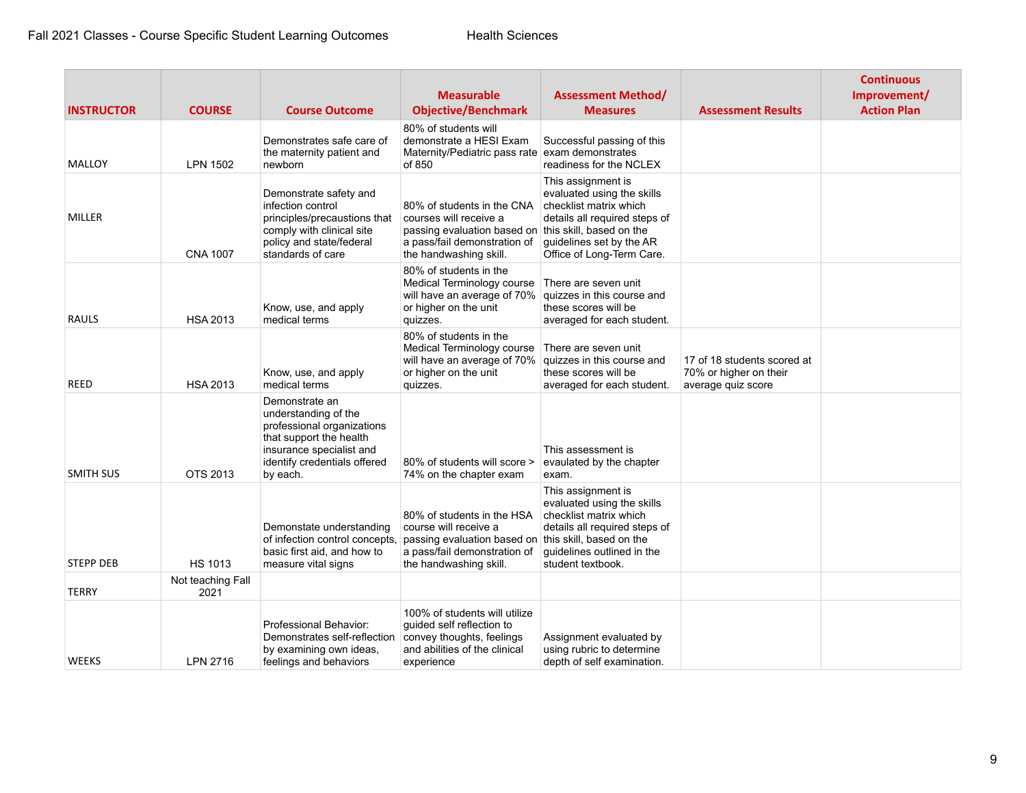| <b>INSTRUCTOR</b> | <b>COURSE</b>             | <b>Course Outcome</b>                                                                                                                                                   | <b>Measurable</b><br><b>Objective/Benchmark</b>                                                                                                                        | <b>Assessment Method/</b><br><b>Measures</b>                                                                                                                         | <b>Assessment Results</b>                                                   | <b>Continuous</b><br>Improvement/<br><b>Action Plan</b> |
|-------------------|---------------------------|-------------------------------------------------------------------------------------------------------------------------------------------------------------------------|------------------------------------------------------------------------------------------------------------------------------------------------------------------------|----------------------------------------------------------------------------------------------------------------------------------------------------------------------|-----------------------------------------------------------------------------|---------------------------------------------------------|
| MALLOY            | LPN 1502                  | Demonstrates safe care of<br>the maternity patient and<br>newborn                                                                                                       | 80% of students will<br>demonstrate a HESI Exam<br>Maternity/Pediatric pass rate exam demonstrates<br>of 850                                                           | Successful passing of this<br>readiness for the NCLEX                                                                                                                |                                                                             |                                                         |
| MILLER            | <b>CNA 1007</b>           | Demonstrate safety and<br>infection control<br>principles/precaustions that<br>comply with clinical site<br>policy and state/federal<br>standards of care               | 80% of students in the CNA<br>courses will receive a<br>passing evaluation based on this skill, based on the<br>a pass/fail demonstration of<br>the handwashing skill. | This assignment is<br>evaluated using the skills<br>checklist matrix which<br>details all required steps of<br>guidelines set by the AR<br>Office of Long-Term Care. |                                                                             |                                                         |
| <b>RAULS</b>      | <b>HSA 2013</b>           | Know, use, and apply<br>medical terms                                                                                                                                   | 80% of students in the<br>Medical Terminology course<br>will have an average of 70% quizzes in this course and<br>or higher on the unit<br>quizzes.                    | There are seven unit<br>these scores will be<br>averaged for each student.                                                                                           |                                                                             |                                                         |
| REED              | <b>HSA 2013</b>           | Know, use, and apply<br>medical terms                                                                                                                                   | 80% of students in the<br>Medical Terminology course<br>will have an average of 70%<br>or higher on the unit<br>quizzes.                                               | There are seven unit<br>quizzes in this course and<br>these scores will be<br>averaged for each student.                                                             | 17 of 18 students scored at<br>70% or higher on their<br>average quiz score |                                                         |
| <b>SMITH SUS</b>  | OTS 2013                  | Demonstrate an<br>understanding of the<br>professional organizations<br>that support the health<br>insurance specialist and<br>identify credentials offered<br>by each. | 80% of students will score ><br>74% on the chapter exam                                                                                                                | This assessment is<br>evaulated by the chapter<br>exam.                                                                                                              |                                                                             |                                                         |
| <b>STEPP DEB</b>  | <b>HS 1013</b>            | Demonstate understanding<br>of infection control concepts.<br>basic first aid, and how to<br>measure vital signs                                                        | 80% of students in the HSA<br>course will receive a<br>passing evaluation based on this skill, based on the<br>a pass/fail demonstration of<br>the handwashing skill.  | This assignment is<br>evaluated using the skills<br>checklist matrix which<br>details all required steps of<br>quidelines outlined in the<br>student textbook.       |                                                                             |                                                         |
| <b>TERRY</b>      | Not teaching Fall<br>2021 |                                                                                                                                                                         |                                                                                                                                                                        |                                                                                                                                                                      |                                                                             |                                                         |
| <b>WEEKS</b>      | <b>LPN 2716</b>           | Professional Behavior:<br>Demonstrates self-reflection<br>by examining own ideas,<br>feelings and behaviors                                                             | 100% of students will utilize<br>guided self reflection to<br>convey thoughts, feelings<br>and abilities of the clinical<br>experience                                 | Assignment evaluated by<br>using rubric to determine<br>depth of self examination.                                                                                   |                                                                             |                                                         |